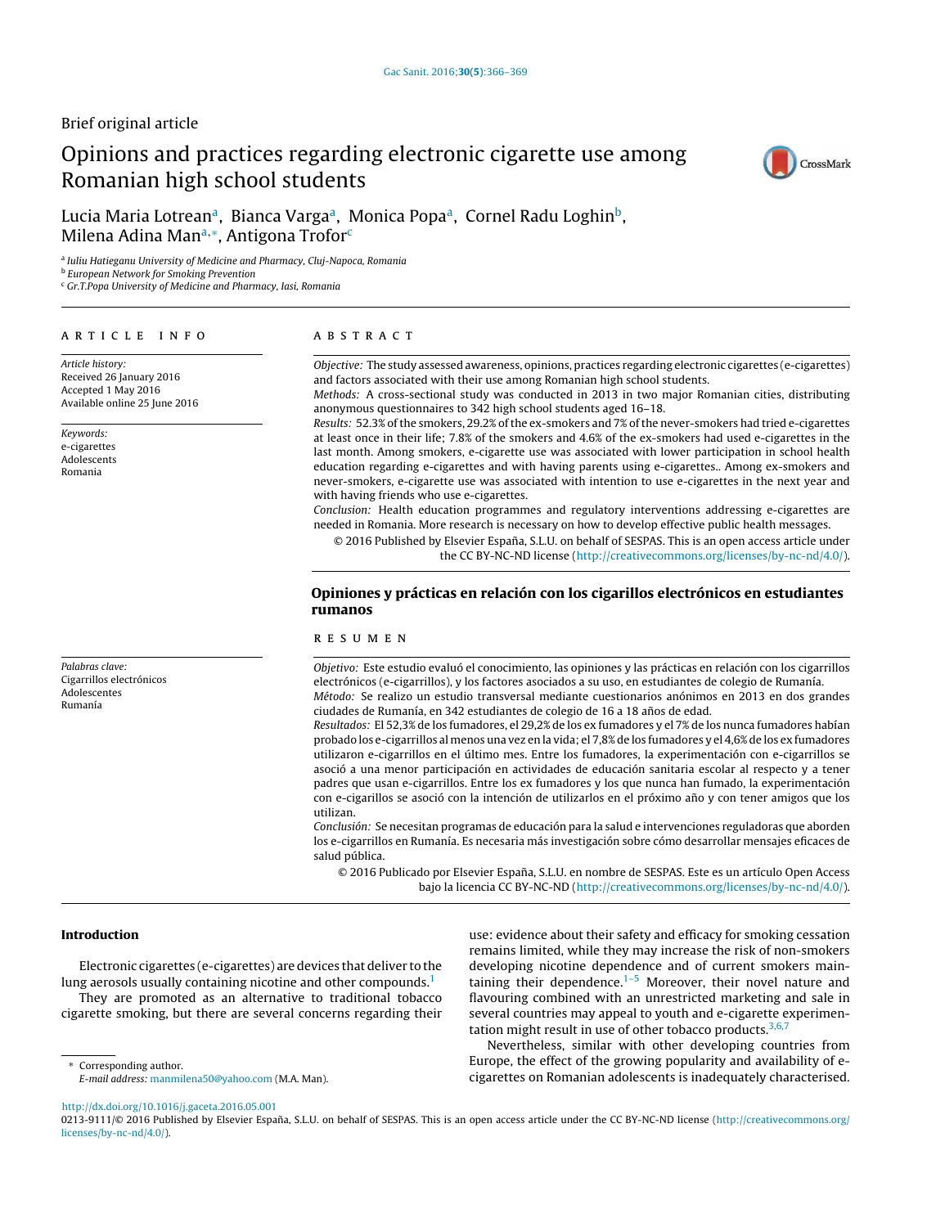# Brief original article

# Opinions and practices regarding electronic cigarette use among Romanian high school students



# Lucia Maria Lotrean<sup>a</sup>, Bianca Varga<sup>a</sup>, Monica Popa<sup>a</sup>, Cornel Radu Loghin<sup>b</sup>, Milena Adina Manª,∗, Antigona Trofor<sup>c</sup>

<sup>a</sup> Iuliu Hatieganu University of Medicine and Pharmacy, Cluj-Napoca, Romania

**b** European Network for Smoking Prevention

<sup>c</sup> Gr.T.Popa University of Medicine and Pharmacy, Iasi, Romania

#### a r t i c l e i n f o

Article history: Received 26 January 2016 Accepted 1 May 2016 Available online 25 June 2016

Keywords: e-cigarettes Adolescents Romania

Palabras clave: Cigarrillos electrónicos Adolescentes Rumanía

# A B S T R A C T

Objective: The study assessed awareness, opinions, practices regarding electronic cigarettes (e-cigarettes) and factors associated with their use among Romanian high school students.

Methods: A cross-sectional study was conducted in 2013 in two major Romanian cities, distributing anonymous questionnaires to 342 high school students aged 16–18.

Results: 52.3% ofthe smokers, 29.2% ofthe ex-smokers and 7% ofthe never-smokers had tried e-cigarettes at least once in their life; 7.8% of the smokers and 4.6% of the ex-smokers had used e-cigarettes in the last month. Among smokers, e-cigarette use was associated with lower participation in school health education regarding e-cigarettes and with having parents using e-cigarettes.. Among ex-smokers and never-smokers, e-cigarette use was associated with intention to use e-cigarettes in the next year and with having friends who use e-cigarettes.

Conclusion: Health education programmes and regulatory interventions addressing e-cigarettes are needed in Romania. More research is necessary on how to develop effective public health messages.

© 2016 Published by Elsevier España, S.L.U. on behalf of SESPAS. This is an open access article under the CC BY-NC-ND license [\(http://creativecommons.org/licenses/by-nc-nd/4.0/](http://creativecommons.org/licenses/by-nc-nd/4.0/)).

# Opiniones y prácticas en relación con los cigarillos electrónicos en estudiantes rumanos

#### r e s u m e n

Objetivo: Este estudio evaluó el conocimiento, las opiniones y las prácticas en relación con los cigarrillos electrónicos (e-cigarrillos), y los factores asociados a su uso, en estudiantes de colegio de Rumanía. Método: Se realizo un estudio transversal mediante cuestionarios anónimos en 2013 en dos grandes ciudades de Rumanía, en 342 estudiantes de colegio de 16 a 18 años de edad.

Resultados: El 52,3% de los fumadores, el 29,2% de los ex fumadores y el 7% de los nunca fumadores habían probado los e-cigarrillos al menos una vez en la vida; el 7,8% de los fumadores y el 4,6% de los ex fumadores utilizaron e-cigarrillos en el último mes. Entre los fumadores, la experimentación con e-cigarrillos se asoció a una menor participación en actividades de educación sanitaria escolar al respecto y a tener padres que usan e-cigarrillos. Entre los ex fumadores y los que nunca han fumado, la experimentación con e-cigarillos se asoció con la intención de utilizarlos en el próximo año y con tener amigos que los utilizan.

Conclusión: Se necesitan programas de educación para la salud e intervenciones reguladoras que aborden los e-cigarrillos en Rumanía. Es necesaria más investigación sobre cómo desarrollar mensajes eficaces de salud pública.

© 2016 Publicado por Elsevier España, S.L.U. en nombre de SESPAS. Este es un artículo Open Access bajo la licencia CC BY-NC-ND [\(http://creativecommons.org/licenses/by-nc-nd/4.0/](http://creativecommons.org/licenses/by-nc-nd/4.0/)).

#### Introduction

Electronic cigarettes (e-cigarettes) are devices that deliver to the lung aerosols usually containing nicotine and other compounds. $1$ They are promoted as an alternative to traditional tobacco

cigarette smoking, but there are several concerns regarding their

use: evidence about their safety and efficacy for smoking cessation remains limited, while they may increase the risk of non-smokers developing nicotine dependence and of current smokers maintaining their dependence. $1-5$  Moreover, their novel nature and flavouring combined with an unrestricted marketing and sale in several countries may appeal to youth and e-cigarette experimentation might result in use of other tobacco products.  $3,6,7$ 

Nevertheless, similar with other developing countries from Europe, the effect of the growing popularity and availability of ecigarettes on Romanian adolescents is inadequately characterised.

[http://dx.doi.org/10.1016/j.gaceta.2016.05.001](dx.doi.org/10.1016/j.gaceta.2016.05.001)

0213-9111/© 2016 Published by Elsevier España, S.L.U. on behalf of SESPAS. This is an open access article under the CC BY-NC-ND license ([http://creativecommons.org/](http://creativecommons.org/licenses/by-nc-nd/4.0/) [licenses/by-nc-nd/4.0/](http://creativecommons.org/licenses/by-nc-nd/4.0/)).

<sup>∗</sup> Corresponding author. E-mail address: [manmilena50@yahoo.com](mailto:manmilena50@yahoo.com) (M.A. Man).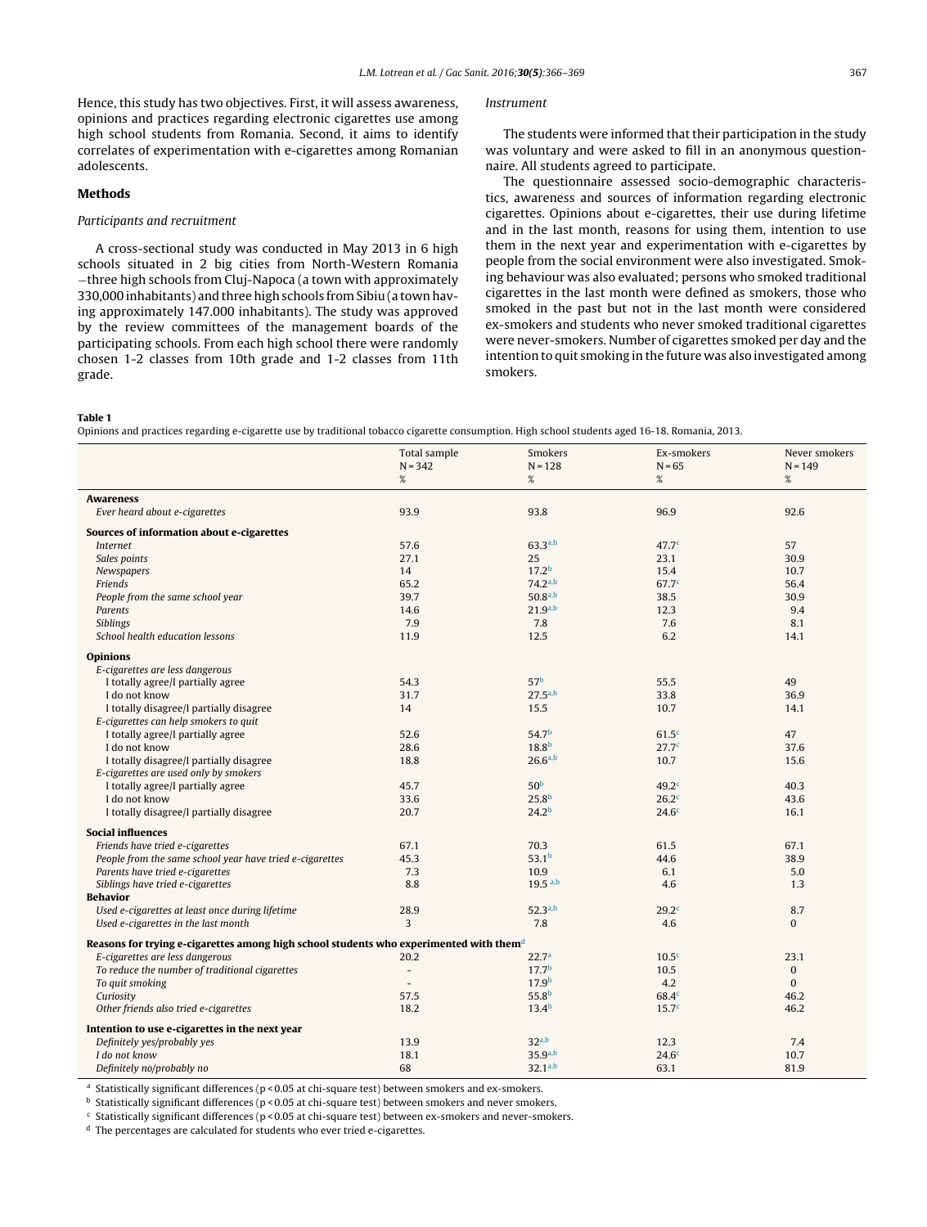<span id="page-1-0"></span>Hence, this study has two objectives. First, it will assess awareness, opinions and practices regarding electronic cigarettes use among high school students from Romania. Second, it aims to identify correlates of experimentation with e-cigarettes among Romanian adolescents.

# Methods

#### Participants and recruitment

A cross-sectional study was conducted in May 2013 in 6 high schools situated in 2 big cities from North-Western Romania −three high schools from Cluj-Napoca (a town with approximately 330,000 inhabitants) and three high schools fromSibiu (a town having approximately 147.000 inhabitants). The study was approved by the review committees of the management boards of the participating schools. From each high school there were randomly chosen 1-2 classes from 10th grade and 1-2 classes from 11th grade.

#### Instrument

The students were informed that their participation in the study was voluntary and were asked to fill in an anonymous questionnaire. All students agreed to participate.

The questionnaire assessed socio-demographic characteristics, awareness and sources of information regarding electronic cigarettes. Opinions about e-cigarettes, their use during lifetime and in the last month, reasons for using them, intention to use them in the next year and experimentation with e-cigarettes by people from the social environment were also investigated. Smoking behaviour was also evaluated; persons who smoked traditional cigarettes in the last month were defined as smokers, those who smoked in the past but not in the last month were considered ex-smokers and students who never smoked traditional cigarettes were never-smokers. Number of cigarettes smoked per day and the intention to quit smoking in the future was also investigated among smokers.

#### Table 1

Opinions and practices regarding e-cigarette use by traditional tobacco cigarette consumption. High school students aged 16-18. Romania, 2013.

|                                                                                                    | Total sample<br>$N = 342$ | Smokers<br>$N = 128$ | Ex-smokers<br>$N = 65$ | Never smokers<br>$N = 149$ |  |  |  |
|----------------------------------------------------------------------------------------------------|---------------------------|----------------------|------------------------|----------------------------|--|--|--|
|                                                                                                    | %                         | %                    | $\%$                   | %                          |  |  |  |
| <b>Awareness</b>                                                                                   |                           |                      |                        |                            |  |  |  |
| Ever heard about e-cigarettes                                                                      | 93.9                      | 93.8                 | 96.9                   | 92.6                       |  |  |  |
| Sources of information about e-cigarettes                                                          |                           |                      |                        |                            |  |  |  |
| <b>Internet</b>                                                                                    | 57.6                      | 63.3a,b              | 47.7 <sup>c</sup>      | 57                         |  |  |  |
| Sales points                                                                                       | 27.1                      | 25                   | 23.1                   | 30.9                       |  |  |  |
| Newspapers                                                                                         | 14                        | 17.2 <sup>b</sup>    | 15.4                   | 10.7                       |  |  |  |
| Friends                                                                                            | 65.2                      | $74.2^{a,b}$         | 67.7 <sup>c</sup>      | 56.4                       |  |  |  |
| People from the same school year                                                                   | 39.7                      | $50.8^{a,b}$         | 38.5                   | 30.9                       |  |  |  |
| Parents                                                                                            | 14.6                      | $21.9^{a,b}$         | 12.3                   | 9.4                        |  |  |  |
| <b>Siblings</b>                                                                                    | 7.9                       | 7.8                  | 7.6                    | 8.1                        |  |  |  |
| School health education lessons                                                                    | 11.9                      | 12.5                 | 6.2                    | 14.1                       |  |  |  |
| <b>Opinions</b>                                                                                    |                           |                      |                        |                            |  |  |  |
| E-cigarettes are less dangerous                                                                    |                           |                      |                        |                            |  |  |  |
| I totally agree/I partially agree                                                                  | 54.3                      | 57 <sup>b</sup>      | 55.5                   | 49                         |  |  |  |
| I do not know                                                                                      | 31.7                      | $27.5^{a,b}$         | 33.8                   | 36.9                       |  |  |  |
| I totally disagree/I partially disagree                                                            | 14                        | 15.5                 | 10.7                   | 14.1                       |  |  |  |
| E-cigarettes can help smokers to quit                                                              |                           |                      |                        |                            |  |  |  |
| I totally agree/I partially agree                                                                  | 52.6                      | 54.7 <sup>b</sup>    | 61.5 <sup>c</sup>      | 47                         |  |  |  |
| I do not know                                                                                      | 28.6                      | 18.8 <sup>b</sup>    | 27.7 <sup>c</sup>      | 37.6                       |  |  |  |
| I totally disagree/I partially disagree                                                            | 18.8                      | $26.6^{a,b}$         | 10.7                   | 15.6                       |  |  |  |
| E-cigarettes are used only by smokers                                                              |                           |                      |                        |                            |  |  |  |
| I totally agree/I partially agree                                                                  | 45.7                      | 50 <sup>b</sup>      | 49.2 <sup>c</sup>      | 40.3                       |  |  |  |
| I do not know                                                                                      | 33.6                      | 25.8 <sup>b</sup>    | 26.2 <sup>c</sup>      | 43.6                       |  |  |  |
| I totally disagree/I partially disagree                                                            | 20.7                      | 24.2 <sup>b</sup>    | 24.6 <sup>c</sup>      | 16.1                       |  |  |  |
| <b>Social influences</b>                                                                           |                           |                      |                        |                            |  |  |  |
| Friends have tried e-cigarettes                                                                    | 67.1                      | 70.3                 | 61.5                   | 67.1                       |  |  |  |
| People from the same school year have tried e-cigarettes                                           | 45.3                      | 53.1 <sup>b</sup>    | 44.6                   | 38.9                       |  |  |  |
| Parents have tried e-cigarettes                                                                    | 7.3                       | 10.9                 | 6.1                    | 5.0                        |  |  |  |
| Siblings have tried e-cigarettes                                                                   | 8.8                       | $19.5$ a,b           | 4.6                    | 1.3                        |  |  |  |
| <b>Behavior</b>                                                                                    |                           |                      |                        |                            |  |  |  |
| Used e-cigarettes at least once during lifetime                                                    | 28.9                      | $52.3^{a,b}$         | 29.2 <sup>c</sup>      | 8.7                        |  |  |  |
| Used e-cigarettes in the last month                                                                | 3                         | 7.8                  | 4.6                    | $\Omega$                   |  |  |  |
| Reasons for trying e-cigarettes among high school students who experimented with them <sup>d</sup> |                           |                      |                        |                            |  |  |  |
| E-cigarettes are less dangerous                                                                    | 20.2                      | 22.7 <sup>a</sup>    | 10.5 <sup>c</sup>      | 23.1                       |  |  |  |
| To reduce the number of traditional cigarettes                                                     | $\overline{\phantom{a}}$  | 17.7 <sup>b</sup>    | 10.5                   | $\Omega$                   |  |  |  |
| To quit smoking                                                                                    | $\overline{a}$            | 17.9 <sup>b</sup>    | 4.2                    | $\Omega$                   |  |  |  |
| Curiosity                                                                                          | 57.5                      | 55.8 <sup>b</sup>    | 68.4 <sup>c</sup>      | 46.2                       |  |  |  |
| Other friends also tried e-cigarettes                                                              | 18.2                      | 13.4 <sup>b</sup>    | 15.7 <sup>c</sup>      | 46.2                       |  |  |  |
| Intention to use e-cigarettes in the next year                                                     |                           |                      |                        |                            |  |  |  |
| Definitely yes/probably yes                                                                        | 13.9                      | 32 <sub>a,b</sub>    | 12.3                   | 7.4                        |  |  |  |
| I do not know                                                                                      | 18.1                      | $35.9^{a,b}$         | 24.6 <sup>c</sup>      | 10.7                       |  |  |  |
| Definitely no/probably no                                                                          | 68                        | $32.1^{a,b}$         | 63.1                   | 81.9                       |  |  |  |

<sup>a</sup> Statistically significant differences ( $p$  < 0.05 at chi-square test) between smokers and ex-smokers.

 $<sup>b</sup>$  Statistically significant differences (p < 0.05 at chi-square test) between smokers and never smokers.</sup>

 $c$  Statistically significant differences (p < 0.05 at chi-square test) between ex-smokers and never-smokers.

<sup>d</sup> The percentages are calculated for students who ever tried e-cigarettes.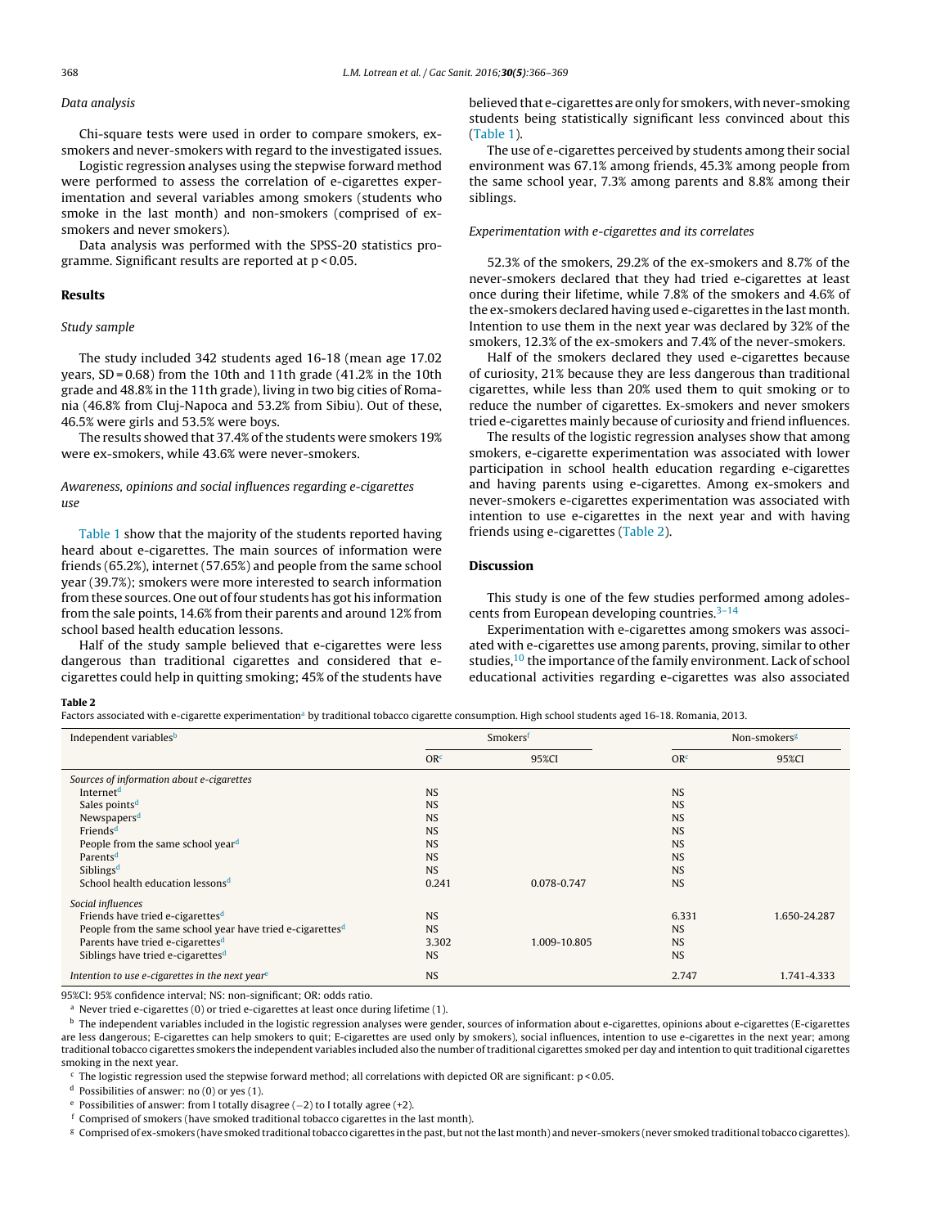### Data analysis

Chi-square tests were used in order to compare smokers, exsmokers and never-smokers with regard to the investigated issues.

Logistic regression analyses using the stepwise forward method were performed to assess the correlation of e-cigarettes experimentation and several variables among smokers (students who smoke in the last month) and non-smokers (comprised of exsmokers and never smokers).

Data analysis was performed with the SPSS-20 statistics programme. Significant results are reported at p < 0.05.

#### Results

#### Study sample

The study included 342 students aged 16-18 (mean age 17.02 years, SD = 0.68) from the 10th and 11th grade (41.2% in the 10th grade and 48.8% in the 11th grade), living in two big cities of Romania (46.8% from Cluj-Napoca and 53.2% from Sibiu). Out of these, 46.5% were girls and 53.5% were boys.

The results showed that 37.4% of the students were smokers 19% were ex-smokers, while 43.6% were never-smokers.

## Awareness, opinions and social influences regarding e-cigarettes use

[Table](#page-1-0) 1 show that the majority of the students reported having heard about e-cigarettes. The main sources of information were friends (65.2%), internet (57.65%) and people from the same school year (39.7%); smokers were more interested to search information from these sources. One out of four students has got his information from the sale points, 14.6% from their parents and around 12% from school based health education lessons.

Half of the study sample believed that e-cigarettes were less dangerous than traditional cigarettes and considered that ecigarettes could help in quitting smoking; 45% of the students have believed that e-cigarettes are only for smokers, with never-smoking students being statistically significant less convinced about this [\(Table](#page-1-0) 1).

The use of e-cigarettes perceived by students among their social environment was 67.1% among friends, 45.3% among people from the same school year, 7.3% among parents and 8.8% among their siblings.

#### Experimentation with e-cigarettes and its correlates

52.3% of the smokers, 29.2% of the ex-smokers and 8.7% of the never-smokers declared that they had tried e-cigarettes at least once during their lifetime, while 7.8% of the smokers and 4.6% of the ex-smokers declared having used e-cigarettes in the last month. Intention to use them in the next year was declared by 32% of the smokers, 12.3% of the ex-smokers and 7.4% of the never-smokers.

Half of the smokers declared they used e-cigarettes because of curiosity, 21% because they are less dangerous than traditional cigarettes, while less than 20% used them to quit smoking or to reduce the number of cigarettes. Ex-smokers and never smokers tried e-cigarettes mainly because of curiosity and friend influences.

The results of the logistic regression analyses show that among smokers, e-cigarette experimentation was associated with lower participation in school health education regarding e-cigarettes and having parents using e-cigarettes. Among ex-smokers and never-smokers e-cigarettes experimentation was associated with intention to use e-cigarettes in the next year and with having friends using e-cigarettes (Table 2).

# Discussion

This study is one of the few studies performed among adolescents from European developing countries. $3-14$ 

Experimentation with e-cigarettes among smokers was associated with e-cigarettes use among parents, proving, similar to other studies, $10$  the importance of the family environment. Lack of school educational activities regarding e-cigarettes was also associated

#### Table 2

Factors associated with e-cigarette experimentation<sup>a</sup> by traditional tobacco cigarette consumption. High school students aged 16-18. Romania, 2013.

| Independent variables <sup>b</sup>                                    | Smokersf        |              | Non-smokers <sup>g</sup> |              |
|-----------------------------------------------------------------------|-----------------|--------------|--------------------------|--------------|
|                                                                       | OR <sup>c</sup> | 95%CI        | OR <sup>c</sup>          | 95%CI        |
| Sources of information about e-cigarettes                             |                 |              |                          |              |
| Internet <sup>d</sup>                                                 | <b>NS</b>       |              | <b>NS</b>                |              |
| Sales points <sup>d</sup>                                             | <b>NS</b>       |              | <b>NS</b>                |              |
| Newspapers <sup>d</sup>                                               | <b>NS</b>       |              | <b>NS</b>                |              |
| Friends <sup>d</sup>                                                  | <b>NS</b>       |              | <b>NS</b>                |              |
| People from the same school year <sup>d</sup>                         | <b>NS</b>       |              | <b>NS</b>                |              |
| Parents <sup>d</sup>                                                  | <b>NS</b>       |              | <b>NS</b>                |              |
| Siblings <sup>d</sup>                                                 | <b>NS</b>       |              | <b>NS</b>                |              |
| School health education lessons <sup>d</sup>                          | 0.241           | 0.078-0.747  | <b>NS</b>                |              |
| Social influences                                                     |                 |              |                          |              |
| Friends have tried e-cigarettes <sup>d</sup>                          | <b>NS</b>       |              | 6.331                    | 1.650-24.287 |
| People from the same school year have tried e-cigarettes <sup>d</sup> | <b>NS</b>       |              | <b>NS</b>                |              |
| Parents have tried e-cigarettes <sup>d</sup>                          | 3.302           | 1.009-10.805 | <b>NS</b>                |              |
| Siblings have tried e-cigarettes <sup>d</sup>                         | <b>NS</b>       |              | <b>NS</b>                |              |
| Intention to use e-cigarettes in the next year <sup>e</sup>           | <b>NS</b>       |              | 2.747                    | 1.741-4.333  |

95%CI: 95% confidence interval; NS: non-significant; OR: odds ratio.

<sup>a</sup> Never tried e-cigarettes (0) or tried e-cigarettes at least once during lifetime (1).

<sup>b</sup> The independent variables included in the logistic regression analyses were gender, sources of information about e-cigarettes, opinions about e-cigarettes (E-cigarettes are less dangerous; E-cigarettes can help smokers to quit; E-cigarettes are used only by smokers), social influences, intention to use e-cigarettes in the next year; among traditionaltobacco cigarettes smokers the independent variables included also the number oftraditional cigarettes smoked per day and intention to quittraditional cigarettes smoking in the next year.

 $c$  The logistic regression used the stepwise forward method; all correlations with depicted OR are significant:  $p$  < 0.05.

<sup>d</sup> Possibilities of answer: no (0) or yes (1).

<sup>e</sup> Possibilities of answer: from I totally disagree (−2) to I totally agree (+2).

 $^{\rm f}$  Comprised of smokers (have smoked traditional tobacco cigarettes in the last month).

<sup>g</sup> Comprised of ex-smokers (have smoked traditionaltobacco cigarettes in the past, but notthe last month) and never-smokers (never smoked traditionaltobacco cigarettes).